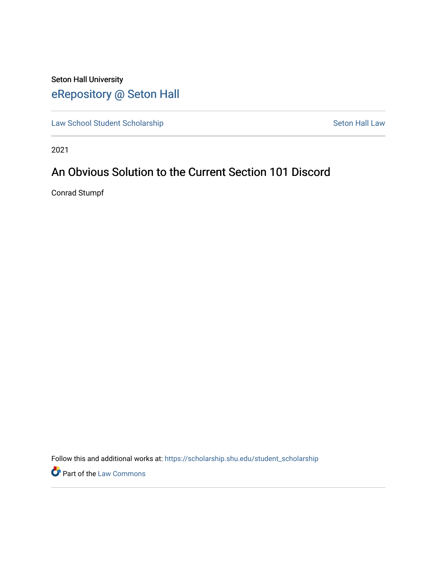# Seton Hall University [eRepository @ Seton Hall](https://scholarship.shu.edu/)

[Law School Student Scholarship](https://scholarship.shu.edu/student_scholarship) Seton Hall Law

2021

## An Obvious Solution to the Current Section 101 Discord

Conrad Stumpf

Follow this and additional works at: [https://scholarship.shu.edu/student\\_scholarship](https://scholarship.shu.edu/student_scholarship?utm_source=scholarship.shu.edu%2Fstudent_scholarship%2F1245&utm_medium=PDF&utm_campaign=PDFCoverPages) 

Part of the [Law Commons](http://network.bepress.com/hgg/discipline/578?utm_source=scholarship.shu.edu%2Fstudent_scholarship%2F1245&utm_medium=PDF&utm_campaign=PDFCoverPages)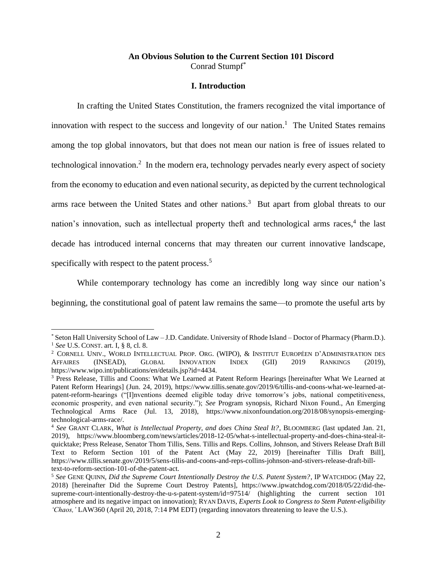## **An Obvious Solution to the Current Section 101 Discord** Conrad Stumpf\*

## **I. Introduction**

In crafting the United States Constitution, the framers recognized the vital importance of innovation with respect to the success and longevity of our nation.<sup>1</sup> The United States remains among the top global innovators, but that does not mean our nation is free of issues related to technological innovation.<sup>2</sup> In the modern era, technology pervades nearly every aspect of society from the economy to education and even national security, as depicted by the current technological arms race between the United States and other nations.<sup>3</sup> But apart from global threats to our nation's innovation, such as intellectual property theft and technological arms races,<sup>4</sup> the last decade has introduced internal concerns that may threaten our current innovative landscape, specifically with respect to the patent process.<sup>5</sup>

While contemporary technology has come an incredibly long way since our nation's beginning, the constitutional goal of patent law remains the same—to promote the useful arts by

<sup>\*</sup> Seton Hall University School of Law – J.D. Candidate. University of Rhode Island – Doctor of Pharmacy (Pharm.D.). <sup>1</sup> *See* U.S. CONST. art. I, § 8, cl. 8.

<sup>&</sup>lt;sup>2</sup> CORNELL UNIV., WORLD INTELLECTUAL PROP. ORG. (WIPO), & INSTITUT EUROPÉEN D'ADMINISTRATION DES AFFAIRES (INSEAD), GLOBAL INNOVATION INDEX (GII) 2019 RANKINGS (2019), https://www.wipo.int/publications/en/details.jsp?id=4434.

<sup>3</sup> Press Release, Tillis and Coons: What We Learned at Patent Reform Hearings [hereinafter What We Learned at Patent Reform Hearings] (Jun. 24, 2019), https://www.tillis.senate.gov/2019/6/tillis-and-coons-what-we-learned-atpatent-reform-hearings ("[I]nventions deemed eligible today drive tomorrow's jobs, national competitiveness, economic prosperity, and even national security."); *See* Program synopsis, Richard Nixon Found., An Emerging Technological Arms Race (Jul. 13, 2018), https://www.nixonfoundation.org/2018/08/synopsis-emergingtechnological-arms-race/.

<sup>4</sup> *See* GRANT CLARK, *What is Intellectual Property, and does China Steal It?*, BLOOMBERG (last updated Jan. 21, 2019), https://www.bloomberg.com/news/articles/2018-12-05/what-s-intellectual-property-and-does-china-steal-itquicktake; Press Release, Senator Thom Tillis, Sens. Tillis and Reps. Collins, Johnson, and Stivers Release Draft Bill Text to Reform Section 101 of the Patent Act (May 22, 2019) [hereinafter Tillis Draft Bill], https://www.tillis.senate.gov/2019/5/sens-tillis-and-coons-and-reps-collins-johnson-and-stivers-release-draft-billtext-to-reform-section-101-of-the-patent-act.

<sup>5</sup> *See* GENE QUINN, *Did the Supreme Court Intentionally Destroy the U.S. Patent System?*, IP WATCHDOG (May 22, 2018) [hereinafter Did the Supreme Court Destroy Patents], https://www.ipwatchdog.com/2018/05/22/did-thesupreme-court-intentionally-destroy-the-u-s-patent-system/id=97514/ (highlighting the current section 101 atmosphere and its negative impact on innovation); RYAN DAVIS, *Experts Look to Congress to Stem Patent-eligibility 'Chaos,'* LAW360 (April 20, 2018, 7:14 PM EDT) (regarding innovators threatening to leave the U.S.).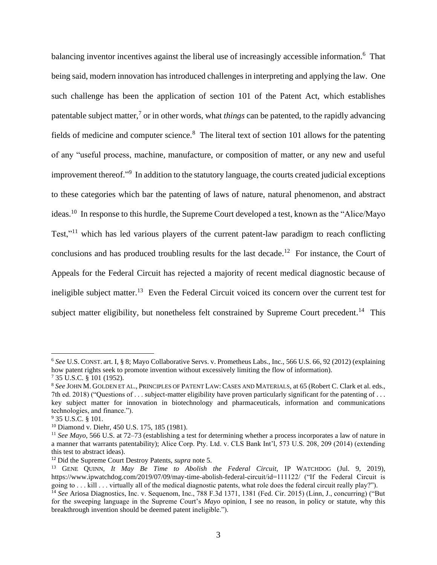balancing inventor incentives against the liberal use of increasingly accessible information.<sup>6</sup> That being said, modern innovation has introduced challenges in interpreting and applying the law. One such challenge has been the application of section 101 of the Patent Act, which establishes patentable subject matter,<sup>7</sup> or in other words, what *things* can be patented, to the rapidly advancing fields of medicine and computer science.<sup>8</sup> The literal text of section 101 allows for the patenting of any "useful process, machine, manufacture, or composition of matter, or any new and useful improvement thereof." 9 In addition to the statutory language, the courts created judicial exceptions to these categories which bar the patenting of laws of nature, natural phenomenon, and abstract ideas.<sup>10</sup> In response to this hurdle, the Supreme Court developed a test, known as the "Alice/Mayo" Test,"<sup>11</sup> which has led various players of the current patent-law paradigm to reach conflicting conclusions and has produced troubling results for the last decade.<sup>12</sup> For instance, the Court of Appeals for the Federal Circuit has rejected a majority of recent medical diagnostic because of ineligible subject matter.<sup>13</sup> Even the Federal Circuit voiced its concern over the current test for subject matter eligibility, but nonetheless felt constrained by Supreme Court precedent.<sup>14</sup> This

<sup>6</sup> *See* U.S. CONST. art. I, § 8; Mayo Collaborative Servs. v. Prometheus Labs., Inc., 566 U.S. 66, 92 (2012) (explaining how patent rights seek to promote invention without excessively limiting the flow of information).

<sup>7</sup> 35 U.S.C. § 101 (1952).

<sup>8</sup> *See* JOHN M. GOLDEN ET AL., PRINCIPLES OF PATENT LAW: CASES AND MATERIALS, at 65 (Robert C. Clark et al. eds., 7th ed. 2018) ("Questions of . . . subject-matter eligibility have proven particularly significant for the patenting of . . . key subject matter for innovation in biotechnology and pharmaceuticals, information and communications technologies, and finance.").

<sup>9</sup> 35 U.S.C. § 101.

<sup>10</sup> Diamond v. Diehr, 450 U.S. 175, 185 (1981).

<sup>11</sup> *See Mayo*, 566 U.S. at 72–73 (establishing a test for determining whether a process incorporates a law of nature in a manner that warrants patentability); Alice Corp. Pty. Ltd. v. CLS Bank Int'l, 573 U.S. 208, 209 (2014) (extending this test to abstract ideas).

<sup>12</sup> Did the Supreme Court Destroy Patents, *supra* note 5.

<sup>13</sup> GENE QUINN, *It May Be Time to Abolish the Federal Circuit,* IP WATCHDOG (Jul. 9, 2019), https://www.ipwatchdog.com/2019/07/09/may-time-abolish-federal-circuit/id=111122/ ("If the Federal Circuit is going to . . . kill . . . virtually all of the medical diagnostic patents, what role does the federal circuit really play?").

<sup>&</sup>lt;sup>14</sup> See Ariosa Diagnostics, Inc. v. Sequenom, Inc., 788 F.3d 1371, 1381 (Fed. Cir. 2015) (Linn, J., concurring) ("But for the sweeping language in the Supreme Court's *Mayo* opinion, I see no reason, in policy or statute, why this breakthrough invention should be deemed patent ineligible.").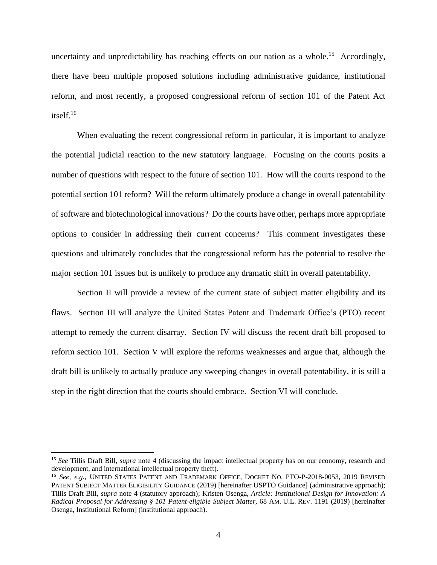uncertainty and unpredictability has reaching effects on our nation as a whole.<sup>15</sup> Accordingly, there have been multiple proposed solutions including administrative guidance, institutional reform, and most recently, a proposed congressional reform of section 101 of the Patent Act itself. 16

When evaluating the recent congressional reform in particular, it is important to analyze the potential judicial reaction to the new statutory language. Focusing on the courts posits a number of questions with respect to the future of section 101. How will the courts respond to the potential section 101 reform? Will the reform ultimately produce a change in overall patentability of software and biotechnological innovations? Do the courts have other, perhaps more appropriate options to consider in addressing their current concerns? This comment investigates these questions and ultimately concludes that the congressional reform has the potential to resolve the major section 101 issues but is unlikely to produce any dramatic shift in overall patentability.

Section II will provide a review of the current state of subject matter eligibility and its flaws. Section III will analyze the United States Patent and Trademark Office's (PTO) recent attempt to remedy the current disarray. Section IV will discuss the recent draft bill proposed to reform section 101. Section V will explore the reforms weaknesses and argue that, although the draft bill is unlikely to actually produce any sweeping changes in overall patentability, it is still a step in the right direction that the courts should embrace. Section VI will conclude.

<sup>15</sup> *See* Tillis Draft Bill, *supra* note 4 (discussing the impact intellectual property has on our economy, research and development, and international intellectual property theft).

<sup>&</sup>lt;sup>16</sup> *See, e.g.,* UNITED STATES PATENT AND TRADEMARK OFFICE, DOCKET NO. PTO-P-2018-0053, 2019 REVISED PATENT SUBJECT MATTER ELIGIBILITY GUIDANCE (2019) [hereinafter USPTO Guidance] (administrative approach); Tillis Draft Bill, *supra* note 4 (statutory approach); Kristen Osenga, *Article: Institutional Design for Innovation: A Radical Proposal for Addressing § 101 Patent-eligible Subject Matter,* 68 AM. U.L. REV. 1191 (2019) [hereinafter Osenga, Institutional Reform] (institutional approach).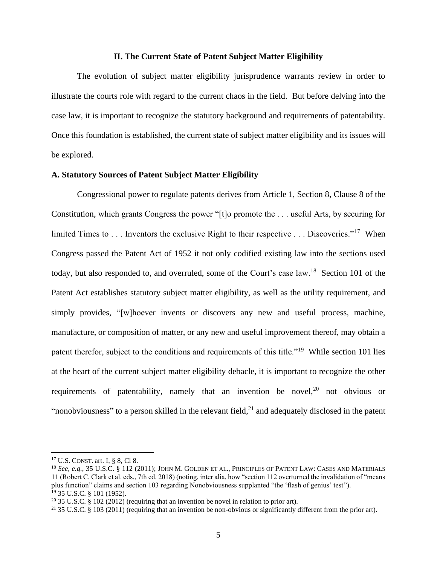#### **II. The Current State of Patent Subject Matter Eligibility**

The evolution of subject matter eligibility jurisprudence warrants review in order to illustrate the courts role with regard to the current chaos in the field. But before delving into the case law, it is important to recognize the statutory background and requirements of patentability. Once this foundation is established, the current state of subject matter eligibility and its issues will be explored.

#### **A. Statutory Sources of Patent Subject Matter Eligibility**

Congressional power to regulate patents derives from Article 1, Section 8, Clause 8 of the Constitution, which grants Congress the power "[t]o promote the . . . useful Arts, by securing for limited Times to . . . Inventors the exclusive Right to their respective . . . Discoveries."<sup>17</sup> When Congress passed the Patent Act of 1952 it not only codified existing law into the sections used today, but also responded to, and overruled, some of the Court's case law.<sup>18</sup> Section 101 of the Patent Act establishes statutory subject matter eligibility, as well as the utility requirement, and simply provides, "[w]hoever invents or discovers any new and useful process, machine, manufacture, or composition of matter, or any new and useful improvement thereof, may obtain a patent therefor, subject to the conditions and requirements of this title."<sup>19</sup> While section 101 lies at the heart of the current subject matter eligibility debacle, it is important to recognize the other requirements of patentability, namely that an invention be novel,<sup>20</sup> not obvious or "nonobviousness" to a person skilled in the relevant field, $^{21}$  and adequately disclosed in the patent

<sup>17</sup> U.S. CONST. art. I, § 8, Cl 8.

<sup>18</sup> *See, e.g.*, 35 U.S.C. § 112 (2011); JOHN M. GOLDEN ET AL., PRINCIPLES OF PATENT LAW: CASES AND MATERIALS 11 (Robert C. Clark et al. eds., 7th ed. 2018) (noting, inter alia, how "section 112 overturned the invalidation of "means plus function" claims and section 103 regarding Nonobviousness supplanted "the 'flash of genius' test"). <sup>19</sup> 35 U.S.C. § 101 (1952).

 $20\,35$  U.S.C. § 102 (2012) (requiring that an invention be novel in relation to prior art).

<sup>&</sup>lt;sup>21</sup> 35 U.S.C. § 103 (2011) (requiring that an invention be non-obvious or significantly different from the prior art).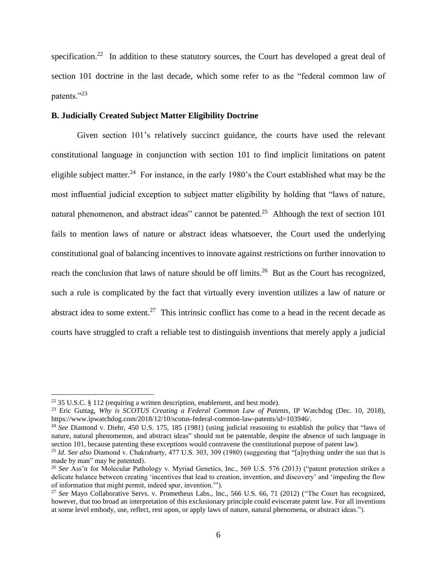specification.<sup>22</sup> In addition to these statutory sources, the Court has developed a great deal of section 101 doctrine in the last decade, which some refer to as the "federal common law of patents."23

## **B. Judicially Created Subject Matter Eligibility Doctrine**

Given section 101's relatively succinct guidance, the courts have used the relevant constitutional language in conjunction with section 101 to find implicit limitations on patent eligible subject matter.<sup>24</sup> For instance, in the early 1980's the Court established what may be the most influential judicial exception to subject matter eligibility by holding that "laws of nature, natural phenomenon, and abstract ideas" cannot be patented.<sup>25</sup> Although the text of section 101 fails to mention laws of nature or abstract ideas whatsoever, the Court used the underlying constitutional goal of balancing incentives to innovate against restrictions on further innovation to reach the conclusion that laws of nature should be off limits.<sup>26</sup> But as the Court has recognized, such a rule is complicated by the fact that virtually every invention utilizes a law of nature or abstract idea to some extent.<sup>27</sup> This intrinsic conflict has come to a head in the recent decade as courts have struggled to craft a reliable test to distinguish inventions that merely apply a judicial

<sup>&</sup>lt;sup>22</sup> 35 U.S.C. § 112 (requiring a written description, enablement, and best mode).

<sup>23</sup> Eric Guttag, *Why is SCOTUS Creating a Federal Common Law of Patents*, IP Watchdog (Dec. 10, 2018), https://www.ipwatchdog.com/2018/12/10/scotus-federal-common-law-patents/id=103946/.

<sup>24</sup> *See* Diamond v. Diehr, 450 U.S. 175, 185 (1981) (using judicial reasoning to establish the policy that "laws of nature, natural phenomenon, and abstract ideas" should not be patentable, despite the absence of such language in section 101, because patenting these exceptions would contravene the constitutional purpose of patent law).

<sup>25</sup> *Id*. *See also* Diamond v. Chakrabarty, 477 U.S. 303, 309 (1980) (suggesting that "[a]nything under the sun that is made by man" may be patented).

<sup>26</sup> *See* Ass'n for Molecular Pathology v. Myriad Genetics, Inc., 569 U.S. 576 (2013) ("patent protection strikes a delicate balance between creating 'incentives that lead to creation, invention, and discovery' and 'impeding the flow of information that might permit, indeed spur, invention.'").

<sup>27</sup> *See* Mayo Collaborative Servs. v. Prometheus Labs., Inc., 566 U.S. 66, 71 (2012) ("The Court has recognized, however, that too broad an interpretation of this exclusionary principle could eviscerate patent law. For all inventions at some level embody, use, reflect, rest upon, or apply laws of nature, natural phenomena, or abstract ideas.").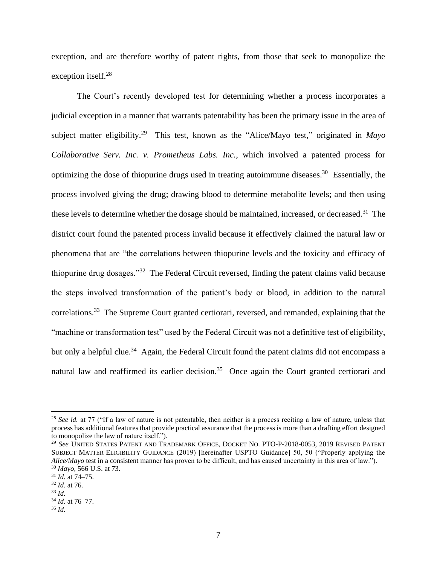exception, and are therefore worthy of patent rights, from those that seek to monopolize the exception itself.<sup>28</sup>

The Court's recently developed test for determining whether a process incorporates a judicial exception in a manner that warrants patentability has been the primary issue in the area of subject matter eligibility.<sup>29</sup> This test, known as the "Alice/Mayo test," originated in *Mayo Collaborative Serv. Inc. v. Prometheus Labs. Inc.*, which involved a patented process for optimizing the dose of thiopurine drugs used in treating autoimmune diseases. 30 Essentially, the process involved giving the drug; drawing blood to determine metabolite levels; and then using these levels to determine whether the dosage should be maintained, increased, or decreased.<sup>31</sup> The district court found the patented process invalid because it effectively claimed the natural law or phenomena that are "the correlations between thiopurine levels and the toxicity and efficacy of thiopurine drug dosages."<sup>32</sup> The Federal Circuit reversed, finding the patent claims valid because the steps involved transformation of the patient's body or blood, in addition to the natural correlations.<sup>33</sup> The Supreme Court granted certiorari, reversed, and remanded, explaining that the "machine or transformation test" used by the Federal Circuit was not a definitive test of eligibility, but only a helpful clue.<sup>34</sup> Again, the Federal Circuit found the patent claims did not encompass a natural law and reaffirmed its earlier decision.<sup>35</sup> Once again the Court granted certiorari and

<sup>&</sup>lt;sup>28</sup> *See id.* at 77 ("If a law of nature is not patentable, then neither is a process reciting a law of nature, unless that process has additional features that provide practical assurance that the process is more than a drafting effort designed to monopolize the law of nature itself.").

<sup>29</sup> *See* UNITED STATES PATENT AND TRADEMARK OFFICE, DOCKET NO. PTO-P-2018-0053, 2019 REVISED PATENT SUBJECT MATTER ELIGIBILITY GUIDANCE (2019) [hereinafter USPTO Guidance] 50, 50 ("Properly applying the *Alice/Mayo* test in a consistent manner has proven to be difficult, and has caused uncertainty in this area of law."). <sup>30</sup> *Mayo*, 566 U.S. at 73.

<sup>31</sup> *Id*. at 74–75.

<sup>32</sup> *Id.* at 76.

<sup>33</sup> *Id.*

<sup>34</sup> *Id.* at 76–77.

<sup>35</sup> *Id.*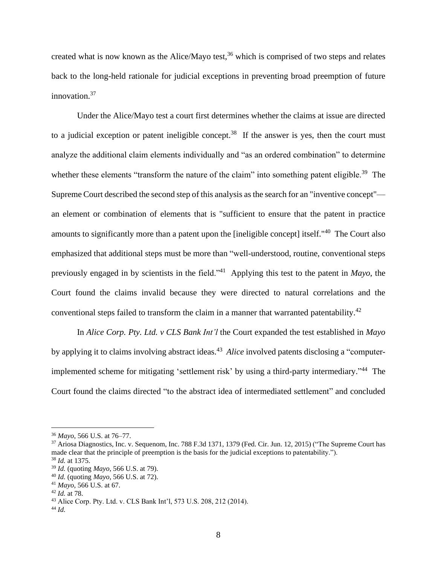created what is now known as the Alice/Mayo test, $36$  which is comprised of two steps and relates back to the long-held rationale for judicial exceptions in preventing broad preemption of future innovation. 37

Under the Alice/Mayo test a court first determines whether the claims at issue are directed to a judicial exception or patent ineligible concept.<sup>38</sup> If the answer is yes, then the court must analyze the additional claim elements individually and "as an ordered combination" to determine whether these elements "transform the nature of the claim" into something patent eligible.<sup>39</sup> The Supreme Court described the second step of this analysis asthe search for an "inventive concept" an element or combination of elements that is "sufficient to ensure that the patent in practice amounts to significantly more than a patent upon the [ineligible concept] itself."<sup>40</sup> The Court also emphasized that additional steps must be more than "well-understood, routine, conventional steps previously engaged in by scientists in the field."<sup>41</sup> Applying this test to the patent in *Mayo*, the Court found the claims invalid because they were directed to natural correlations and the conventional steps failed to transform the claim in a manner that warranted patentability.<sup>42</sup>

In *Alice Corp. Pty. Ltd. v CLS Bank Int'l* the Court expanded the test established in *Mayo* by applying it to claims involving abstract ideas.<sup>43</sup> *Alice* involved patents disclosing a "computerimplemented scheme for mitigating 'settlement risk' by using a third-party intermediary."<sup>44</sup> The Court found the claims directed "to the abstract idea of intermediated settlement" and concluded

<sup>36</sup> *Mayo*, 566 U.S. at 76–77.

<sup>&</sup>lt;sup>37</sup> Ariosa Diagnostics, Inc. v. Sequenom, Inc. 788 F.3d 1371, 1379 (Fed. Cir. Jun. 12, 2015) ("The Supreme Court has made clear that the principle of preemption is the basis for the judicial exceptions to patentability."). <sup>38</sup> *Id.* at 1375.

<sup>39</sup> *Id.* (quoting *Mayo*, 566 U.S. at 79).

<sup>40</sup> *Id.* (quoting *Mayo*, 566 U.S. at 72).

<sup>41</sup> *Mayo*, 566 U.S. at 67.

<sup>42</sup> *Id.* at 78.

<sup>43</sup> Alice Corp. Pty. Ltd. v. CLS Bank Int'l, 573 U.S. 208, 212 (2014).

<sup>44</sup> *Id.*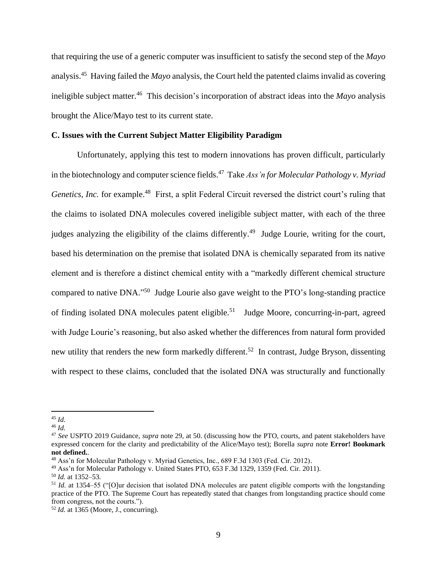that requiring the use of a generic computer was insufficient to satisfy the second step of the *Mayo* analysis.<sup>45</sup> Having failed the *Mayo* analysis, the Court held the patented claims invalid as covering ineligible subject matter.<sup>46</sup> This decision's incorporation of abstract ideas into the *Mayo* analysis brought the Alice/Mayo test to its current state.

#### **C. Issues with the Current Subject Matter Eligibility Paradigm**

Unfortunately, applying this test to modern innovations has proven difficult, particularly in the biotechnology and computer science fields. <sup>47</sup> Take *Ass'n for Molecular Pathology v. Myriad Genetics, Inc.* for example.<sup>48</sup> First, a split Federal Circuit reversed the district court's ruling that the claims to isolated DNA molecules covered ineligible subject matter, with each of the three judges analyzing the eligibility of the claims differently.<sup>49</sup> Judge Lourie, writing for the court, based his determination on the premise that isolated DNA is chemically separated from its native element and is therefore a distinct chemical entity with a "markedly different chemical structure compared to native DNA."<sup>50</sup> Judge Lourie also gave weight to the PTO's long-standing practice of finding isolated DNA molecules patent eligible.<sup>51</sup> Judge Moore, concurring-in-part, agreed with Judge Lourie's reasoning, but also asked whether the differences from natural form provided new utility that renders the new form markedly different.<sup>52</sup> In contrast, Judge Bryson, dissenting with respect to these claims, concluded that the isolated DNA was structurally and functionally

<sup>45</sup> *Id.*

<sup>46</sup> *Id.*

<sup>47</sup> *See* USPTO 2019 Guidance, *supra* note 29, at 50. (discussing how the PTO, courts, and patent stakeholders have expressed concern for the clarity and predictability of the Alice/Mayo test); Borella *supra* note **Error! Bookmark not defined.**.

<sup>48</sup> Ass'n for Molecular Pathology v. Myriad Genetics, Inc., 689 F.3d 1303 (Fed. Cir. 2012).

<sup>49</sup> Ass'n for Molecular Pathology v. United States PTO, 653 F.3d 1329, 1359 (Fed. Cir. 2011).

<sup>50</sup> *Id.* at 1352–53.

<sup>51</sup> *Id.* at 1354–55 ("[O]ur decision that isolated DNA molecules are patent eligible comports with the longstanding practice of the PTO. The Supreme Court has repeatedly stated that changes from longstanding practice should come from congress, not the courts.").

<sup>52</sup> *Id.* at 1365 (Moore, J., concurring).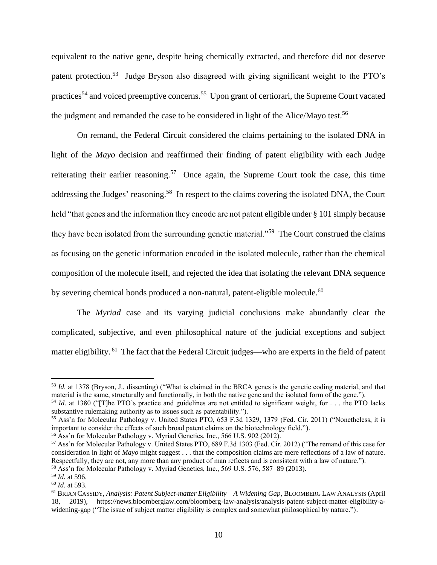equivalent to the native gene, despite being chemically extracted, and therefore did not deserve patent protection.<sup>53</sup> Judge Bryson also disagreed with giving significant weight to the PTO's practices<sup>54</sup> and voiced preemptive concerns.<sup>55</sup> Upon grant of certiorari, the Supreme Court vacated the judgment and remanded the case to be considered in light of the Alice/Mayo test.<sup>56</sup>

On remand, the Federal Circuit considered the claims pertaining to the isolated DNA in light of the *Mayo* decision and reaffirmed their finding of patent eligibility with each Judge reiterating their earlier reasoning.<sup>57</sup> Once again, the Supreme Court took the case, this time addressing the Judges' reasoning.<sup>58</sup> In respect to the claims covering the isolated DNA, the Court held "that genes and the information they encode are not patent eligible under § 101 simply because they have been isolated from the surrounding genetic material."<sup>59</sup> The Court construed the claims as focusing on the genetic information encoded in the isolated molecule, rather than the chemical composition of the molecule itself, and rejected the idea that isolating the relevant DNA sequence by severing chemical bonds produced a non-natural, patent-eligible molecule.<sup>60</sup>

The *Myriad* case and its varying judicial conclusions make abundantly clear the complicated, subjective, and even philosophical nature of the judicial exceptions and subject matter eligibility. <sup>61</sup> The fact that the Federal Circuit judges—who are experts in the field of patent

<sup>53</sup> *Id.* at 1378 (Bryson, J., dissenting) ("What is claimed in the BRCA genes is the genetic coding material, and that material is the same, structurally and functionally, in both the native gene and the isolated form of the gene.").

<sup>54</sup> *Id.* at 1380 ("[T]he PTO's practice and guidelines are not entitled to significant weight, for . . . the PTO lacks substantive rulemaking authority as to issues such as patentability.").

<sup>55</sup> Ass'n for Molecular Pathology v. United States PTO, 653 F.3d 1329, 1379 (Fed. Cir. 2011) ("Nonetheless, it is important to consider the effects of such broad patent claims on the biotechnology field.").

<sup>&</sup>lt;sup>56</sup> Ass'n for Molecular Pathology v. Myriad Genetics, Inc., 566 U.S. 902 (2012).

<sup>57</sup> Ass'n for Molecular Pathology v. United States PTO, 689 F.3d 1303 (Fed. Cir. 2012) ("The remand of this case for consideration in light of *Mayo* might suggest . . . that the composition claims are mere reflections of a law of nature. Respectfully, they are not, any more than any product of man reflects and is consistent with a law of nature."). <sup>58</sup> Ass'n for Molecular Pathology v. Myriad Genetics, Inc., 569 U.S. 576, 587–89 (2013).

<sup>59</sup> *Id.* at 596.

<sup>60</sup> *Id.* at 593.

<sup>61</sup> BRIAN CASSIDY, *Analysis: Patent Subject-matter Eligibility – A Widening Gap*, BLOOMBERG LAW ANALYSIS (April 18, 2019), https://news.bloomberglaw.com/bloomberg-law-analysis/analysis-patent-subject-matter-eligibility-awidening-gap ("The issue of subject matter eligibility is complex and somewhat philosophical by nature.").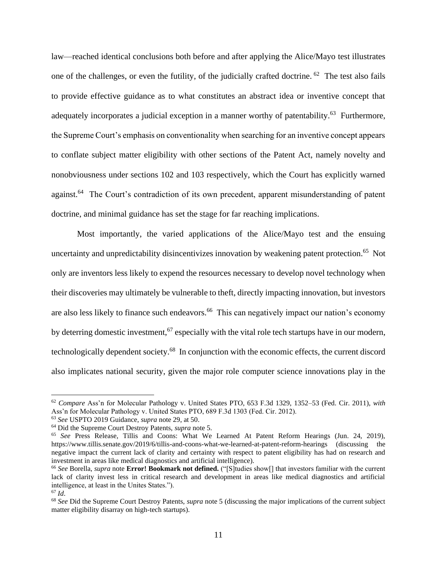law—reached identical conclusions both before and after applying the Alice/Mayo test illustrates one of the challenges, or even the futility, of the judicially crafted doctrine. <sup>62</sup> The test also fails to provide effective guidance as to what constitutes an abstract idea or inventive concept that adequately incorporates a judicial exception in a manner worthy of patentability.<sup>63</sup> Furthermore, the Supreme Court's emphasis on conventionality when searching for an inventive concept appears to conflate subject matter eligibility with other sections of the Patent Act, namely novelty and nonobviousness under sections 102 and 103 respectively, which the Court has explicitly warned against.<sup>64</sup> The Court's contradiction of its own precedent, apparent misunderstanding of patent doctrine, and minimal guidance has set the stage for far reaching implications.

Most importantly, the varied applications of the Alice/Mayo test and the ensuing uncertainty and unpredictability disincentivizes innovation by weakening patent protection.<sup>65</sup> Not only are inventors less likely to expend the resources necessary to develop novel technology when their discoveries may ultimately be vulnerable to theft, directly impacting innovation, but investors are also less likely to finance such endeavors.<sup>66</sup> This can negatively impact our nation's economy by deterring domestic investment,<sup>67</sup> especially with the vital role tech startups have in our modern, technologically dependent society.<sup>68</sup> In conjunction with the economic effects, the current discord also implicates national security, given the major role computer science innovations play in the

<sup>62</sup> *Compare* Ass'n for Molecular Pathology v. United States PTO, 653 F.3d 1329, 1352–53 (Fed. Cir. 2011), *with*  Ass'n for Molecular Pathology v. United States PTO, 689 F.3d 1303 (Fed. Cir. 2012).

<sup>63</sup> *See* USPTO 2019 Guidance, *supra* note 29, at 50.

<sup>64</sup> Did the Supreme Court Destroy Patents, *supra* note 5.

<sup>65</sup> *See* Press Release, Tillis and Coons: What We Learned At Patent Reform Hearings (Jun. 24, 2019), https://www.tillis.senate.gov/2019/6/tillis-and-coons-what-we-learned-at-patent-reform-hearings (discussing the negative impact the current lack of clarity and certainty with respect to patent eligibility has had on research and investment in areas like medical diagnostics and artificial intelligence).

<sup>66</sup> *See* Borella, *supra* note **Error! Bookmark not defined.** ("[S]tudies show[] that investors familiar with the current lack of clarity invest less in critical research and development in areas like medical diagnostics and artificial intelligence, at least in the Unites States.").

 $67$  *Id.* 

<sup>68</sup> *See* Did the Supreme Court Destroy Patents, *supra* note 5 (discussing the major implications of the current subject matter eligibility disarray on high-tech startups).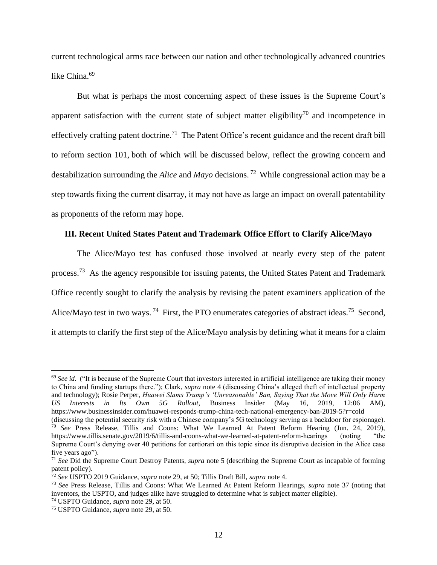current technological arms race between our nation and other technologically advanced countries like China.<sup>69</sup>

But what is perhaps the most concerning aspect of these issues is the Supreme Court's apparent satisfaction with the current state of subject matter eligibility<sup>70</sup> and incompetence in effectively crafting patent doctrine.<sup>71</sup> The Patent Office's recent guidance and the recent draft bill to reform section 101, both of which will be discussed below, reflect the growing concern and destabilization surrounding the *Alice* and *Mayo* decisions. <sup>72</sup> While congressional action may be a step towards fixing the current disarray, it may not have as large an impact on overall patentability as proponents of the reform may hope.

## **III. Recent United States Patent and Trademark Office Effort to Clarify Alice/Mayo**

The Alice/Mayo test has confused those involved at nearly every step of the patent process.<sup>73</sup> As the agency responsible for issuing patents, the United States Patent and Trademark Office recently sought to clarify the analysis by revising the patent examiners application of the Alice/Mayo test in two ways.<sup>74</sup> First, the PTO enumerates categories of abstract ideas.<sup>75</sup> Second, it attempts to clarify the first step of the Alice/Mayo analysis by defining what it means for a claim

<sup>&</sup>lt;sup>69</sup> See id. ("It is because of the Supreme Court that investors interested in artificial intelligence are taking their money to China and funding startups there."); Clark, *supra* note 4 (discussing China's alleged theft of intellectual property and technology); Rosie Perper, *Huawei Slams Trump's 'Unreasonable' Ban, Saying That the Move Will Only Harm US Interests in Its Own 5G Rollout,* Business Insider (May 16, 2019, 12:06 AM), https://www.businessinsider.com/huawei-responds-trump-china-tech-national-emergency-ban-2019-5?r=cold

<sup>(</sup>discussing the potential security risk with a Chinese company's 5G technology serving as a backdoor for espionage). <sup>70</sup> *See* Press Release, Tillis and Coons: What We Learned At Patent Reform Hearing (Jun. 24, 2019), https://www.tillis.senate.gov/2019/6/tillis-and-coons-what-we-learned-at-patent-reform-hearings (noting "the Supreme Court's denying over 40 petitions for certiorari on this topic since its disruptive decision in the Alice case five years ago").

<sup>71</sup> *See* Did the Supreme Court Destroy Patents, *supra* note 5 (describing the Supreme Court as incapable of forming patent policy).

<sup>72</sup> *See* USPTO 2019 Guidance, *supra* note 29, at 50; Tillis Draft Bill, *supra* note 4.

<sup>73</sup> *See* Press Release, Tillis and Coons: What We Learned At Patent Reform Hearings, *supra* note 37 (noting that inventors, the USPTO, and judges alike have struggled to determine what is subject matter eligible).

<sup>74</sup> USPTO Guidance, *supra* note 29, at 50.

<sup>75</sup> USPTO Guidance, *supra* note 29, at 50.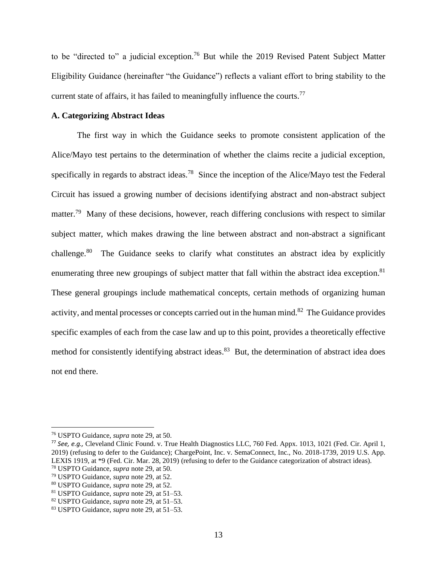to be "directed to" a judicial exception.<sup>76</sup> But while the 2019 Revised Patent Subject Matter Eligibility Guidance (hereinafter "the Guidance") reflects a valiant effort to bring stability to the current state of affairs, it has failed to meaningfully influence the courts.<sup>77</sup>

### **A. Categorizing Abstract Ideas**

The first way in which the Guidance seeks to promote consistent application of the Alice/Mayo test pertains to the determination of whether the claims recite a judicial exception, specifically in regards to abstract ideas.<sup>78</sup> Since the inception of the Alice/Mayo test the Federal Circuit has issued a growing number of decisions identifying abstract and non-abstract subject matter.<sup>79</sup> Many of these decisions, however, reach differing conclusions with respect to similar subject matter, which makes drawing the line between abstract and non-abstract a significant challenge.<sup>80</sup> The Guidance seeks to clarify what constitutes an abstract idea by explicitly enumerating three new groupings of subject matter that fall within the abstract idea exception.<sup>81</sup> These general groupings include mathematical concepts, certain methods of organizing human activity, and mental processes or concepts carried out in the human mind.<sup>82</sup> The Guidance provides specific examples of each from the case law and up to this point, provides a theoretically effective method for consistently identifying abstract ideas.<sup>83</sup> But, the determination of abstract idea does not end there.

<sup>76</sup> USPTO Guidance, *supra* note 29, at 50.

<sup>77</sup> *See, e.g.,* Cleveland Clinic Found. v. True Health Diagnostics LLC, 760 Fed. Appx. 1013, 1021 (Fed. Cir. April 1, 2019) (refusing to defer to the Guidance); ChargePoint, Inc. v. SemaConnect, Inc., No. 2018-1739, 2019 U.S. App. LEXIS 1919, at \*9 (Fed. Cir. Mar. 28, 2019) (refusing to defer to the Guidance categorization of abstract ideas).

<sup>78</sup> USPTO Guidance, *supra* note 29, at 50.

<sup>79</sup> USPTO Guidance, *supra* note 29, at 52.

<sup>80</sup> USPTO Guidance, *supra* note 29, at 52.

<sup>81</sup> USPTO Guidance, *supra* note 29, at 51–53.

<sup>82</sup> USPTO Guidance, *supra* note 29, at 51–53.

<sup>83</sup> USPTO Guidance, *supra* note 29, at 51–53.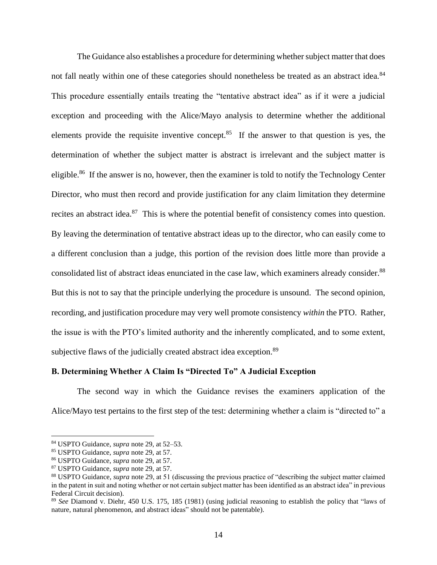The Guidance also establishes a procedure for determining whether subject matter that does not fall neatly within one of these categories should nonetheless be treated as an abstract idea.<sup>84</sup> This procedure essentially entails treating the "tentative abstract idea" as if it were a judicial exception and proceeding with the Alice/Mayo analysis to determine whether the additional elements provide the requisite inventive concept.<sup>85</sup> If the answer to that question is yes, the determination of whether the subject matter is abstract is irrelevant and the subject matter is eligible.<sup>86</sup> If the answer is no, however, then the examiner is told to notify the Technology Center Director, who must then record and provide justification for any claim limitation they determine recites an abstract idea.<sup>87</sup> This is where the potential benefit of consistency comes into question. By leaving the determination of tentative abstract ideas up to the director, who can easily come to a different conclusion than a judge, this portion of the revision does little more than provide a consolidated list of abstract ideas enunciated in the case law, which examiners already consider.<sup>88</sup> But this is not to say that the principle underlying the procedure is unsound. The second opinion, recording, and justification procedure may very well promote consistency *within* the PTO. Rather, the issue is with the PTO's limited authority and the inherently complicated, and to some extent, subjective flaws of the judicially created abstract idea exception.<sup>89</sup>

## **B. Determining Whether A Claim Is "Directed To" A Judicial Exception**

The second way in which the Guidance revises the examiners application of the Alice/Mayo test pertains to the first step of the test: determining whether a claim is "directed to" a

<sup>84</sup> USPTO Guidance, *supra* note 29, at 52–53.

<sup>85</sup> USPTO Guidance, *supra* note 29, at 57.

<sup>86</sup> USPTO Guidance, *supra* note 29, at 57.

<sup>87</sup> USPTO Guidance, *supra* note 29, at 57.

<sup>88</sup> USPTO Guidance, *supra* note 29, at 51 (discussing the previous practice of "describing the subject matter claimed in the patent in suit and noting whether or not certain subject matter has been identified as an abstract idea" in previous Federal Circuit decision).

<sup>89</sup> *See* Diamond v. Diehr, 450 U.S. 175, 185 (1981) (using judicial reasoning to establish the policy that "laws of nature, natural phenomenon, and abstract ideas" should not be patentable).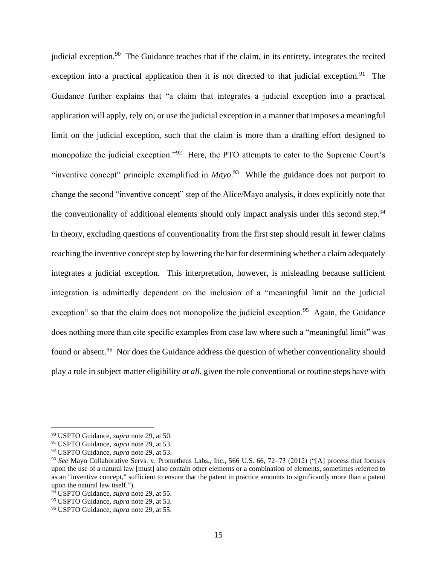judicial exception.<sup>90</sup> The Guidance teaches that if the claim, in its entirety, integrates the recited exception into a practical application then it is not directed to that judicial exception.<sup>91</sup> The Guidance further explains that "a claim that integrates a judicial exception into a practical application will apply, rely on, or use the judicial exception in a manner that imposes a meaningful limit on the judicial exception, such that the claim is more than a drafting effort designed to monopolize the judicial exception."<sup>92</sup> Here, the PTO attempts to cater to the Supreme Court's "inventive concept" principle exemplified in *Mayo*. <sup>93</sup> While the guidance does not purport to change the second "inventive concept" step of the Alice/Mayo analysis, it does explicitly note that the conventionality of additional elements should only impact analysis under this second step.<sup>94</sup> In theory, excluding questions of conventionality from the first step should result in fewer claims reaching the inventive concept step by lowering the bar for determining whether a claim adequately integrates a judicial exception. This interpretation, however, is misleading because sufficient integration is admittedly dependent on the inclusion of a "meaningful limit on the judicial exception" so that the claim does not monopolize the judicial exception.<sup>95</sup> Again, the Guidance does nothing more than cite specific examples from case law where such a "meaningful limit" was found or absent.<sup>96</sup> Nor does the Guidance address the question of whether conventionality should play a role in subject matter eligibility *at all*, given the role conventional or routine steps have with

<sup>90</sup> USPTO Guidance, *supra* note 29, at 50.

<sup>91</sup> USPTO Guidance, *supra* note 29, at 53.

<sup>92</sup> USPTO Guidance, *supra* note 29, at 53.

<sup>93</sup> *See* Mayo Collaborative Servs. v. Prometheus Labs., Inc., 566 U.S. 66, 72–73 (2012) ("[A] process that focuses upon the use of a natural law [must] also contain other elements or a combination of elements, sometimes referred to as an "inventive concept," sufficient to ensure that the patent in practice amounts to significantly more than a patent upon the natural law itself.").

<sup>94</sup> USPTO Guidance, *supra* note 29, at 55.

<sup>95</sup> USPTO Guidance, *supra* note 29, at 53.

<sup>96</sup> USPTO Guidance, *supra* note 29, at 55.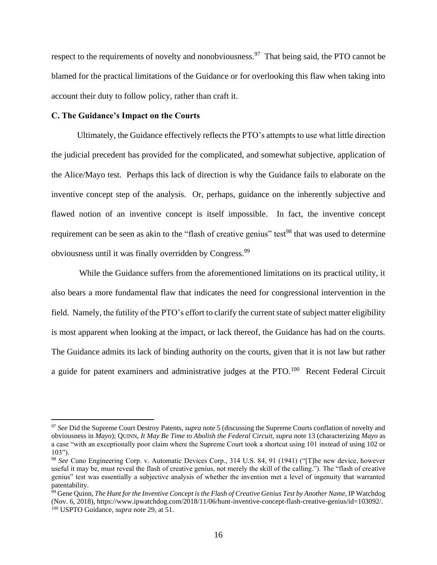respect to the requirements of novelty and nonobviousness.<sup>97</sup> That being said, the PTO cannot be blamed for the practical limitations of the Guidance or for overlooking this flaw when taking into account their duty to follow policy, rather than craft it.

## **C. The Guidance's Impact on the Courts**

Ultimately, the Guidance effectively reflects the PTO's attempts to use what little direction the judicial precedent has provided for the complicated, and somewhat subjective, application of the Alice/Mayo test. Perhaps this lack of direction is why the Guidance fails to elaborate on the inventive concept step of the analysis. Or, perhaps, guidance on the inherently subjective and flawed notion of an inventive concept is itself impossible. In fact, the inventive concept requirement can be seen as akin to the "flash of creative genius" test<sup>98</sup> that was used to determine obviousness until it was finally overridden by Congress.<sup>99</sup>

While the Guidance suffers from the aforementioned limitations on its practical utility, it also bears a more fundamental flaw that indicates the need for congressional intervention in the field. Namely, the futility of the PTO's effort to clarify the current state of subject matter eligibility is most apparent when looking at the impact, or lack thereof, the Guidance has had on the courts. The Guidance admits its lack of binding authority on the courts, given that it is not law but rather a guide for patent examiners and administrative judges at the  $PTO$ .<sup>100</sup> Recent Federal Circuit

<sup>97</sup> *See* Did the Supreme Court Destroy Patents, *supra* note 5 (discussing the Supreme Courts conflation of novelty and obviousness in *Mayo*); QUINN, *It May Be Time to Abolish the Federal Circuit*, *supra* note 13 (characterizing *Mayo* as a case "with an exceptionally poor claim where the Supreme Court took a shortcut using 101 instead of using 102 or  $103"$ ).

<sup>98</sup> *See* Cuno Engineering Corp. v. Automatic Devices Corp., 314 U.S. 84, 91 (1941) ("[T]he new device, however useful it may be, must reveal the flash of creative genius, not merely the skill of the calling."). The "flash of creative genius" test was essentially a subjective analysis of whether the invention met a level of ingenuity that warranted patentability.

<sup>99</sup> Gene Quinn, *The Hunt for the Inventive Concept is the Flash of Creative Genius Test by Another Name*, IP Watchdog (Nov. 6, 2018), https://www.ipwatchdog.com/2018/11/06/hunt-inventive-concept-flash-creative-genius/id=103092/. <sup>100</sup> USPTO Guidance, *supra* note 29, at 51.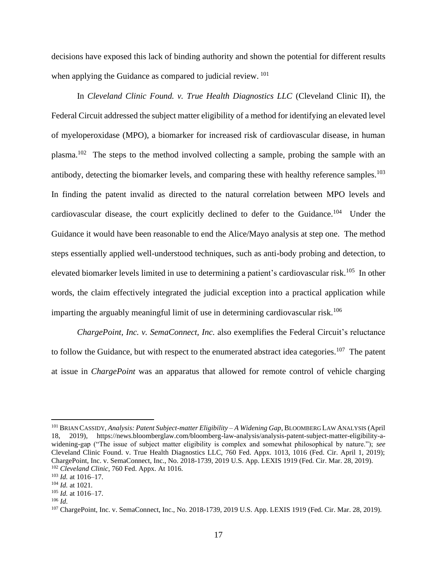decisions have exposed this lack of binding authority and shown the potential for different results when applying the Guidance as compared to judicial review.<sup>101</sup>

In *Cleveland Clinic Found. v. True Health Diagnostics LLC* (Cleveland Clinic II), the Federal Circuit addressed the subject matter eligibility of a method for identifying an elevated level of myeloperoxidase (MPO), a biomarker for increased risk of cardiovascular disease, in human plasma.<sup>102</sup> The steps to the method involved collecting a sample, probing the sample with an antibody, detecting the biomarker levels, and comparing these with healthy reference samples.<sup>103</sup> In finding the patent invalid as directed to the natural correlation between MPO levels and cardiovascular disease, the court explicitly declined to defer to the Guidance.<sup>104</sup> Under the Guidance it would have been reasonable to end the Alice/Mayo analysis at step one. The method steps essentially applied well-understood techniques, such as anti-body probing and detection, to elevated biomarker levels limited in use to determining a patient's cardiovascular risk.<sup>105</sup> In other words, the claim effectively integrated the judicial exception into a practical application while imparting the arguably meaningful limit of use in determining cardiovascular risk.<sup>106</sup>

*ChargePoint, Inc. v. SemaConnect, Inc.* also exemplifies the Federal Circuit's reluctance to follow the Guidance, but with respect to the enumerated abstract idea categories.<sup>107</sup> The patent at issue in *ChargePoint* was an apparatus that allowed for remote control of vehicle charging

<sup>101</sup> BRIAN CASSIDY, *Analysis: Patent Subject-matter Eligibility – A Widening Gap*, BLOOMBERG LAW ANALYSIS (April 18, 2019), https://news.bloomberglaw.com/bloomberg-law-analysis/analysis-patent-subject-matter-eligibility-awidening-gap ("The issue of subject matter eligibility is complex and somewhat philosophical by nature."); *see*  Cleveland Clinic Found. v. True Health Diagnostics LLC, 760 Fed. Appx. 1013, 1016 (Fed. Cir. April 1, 2019); ChargePoint, Inc. v. SemaConnect, Inc., No. 2018-1739, 2019 U.S. App. LEXIS 1919 (Fed. Cir. Mar. 28, 2019). <sup>102</sup> *Cleveland Clinic*, 760 Fed. Appx. At 1016.

<sup>103</sup> *Id.* at 1016–17.

<sup>104</sup> *Id.* at 1021.

<sup>105</sup> *Id.* at 1016–17.

<sup>106</sup> *Id.*

<sup>107</sup> ChargePoint, Inc. v. SemaConnect, Inc., No. 2018-1739, 2019 U.S. App. LEXIS 1919 (Fed. Cir. Mar. 28, 2019).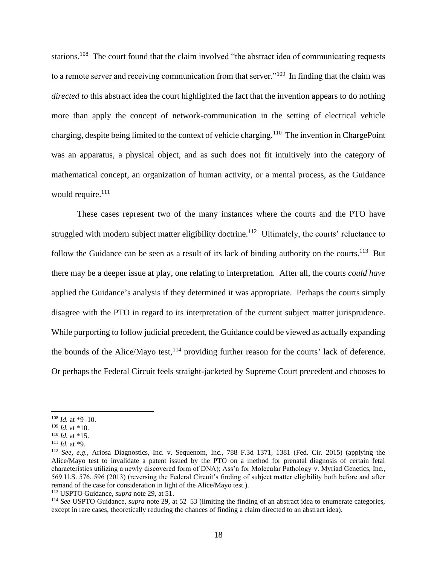stations.<sup>108</sup> The court found that the claim involved "the abstract idea of communicating requests to a remote server and receiving communication from that server."<sup>109</sup> In finding that the claim was *directed to* this abstract idea the court highlighted the fact that the invention appears to do nothing more than apply the concept of network-communication in the setting of electrical vehicle charging, despite being limited to the context of vehicle charging.<sup>110</sup> The invention in ChargePoint was an apparatus, a physical object, and as such does not fit intuitively into the category of mathematical concept, an organization of human activity, or a mental process, as the Guidance would require. $111$ 

These cases represent two of the many instances where the courts and the PTO have struggled with modern subject matter eligibility doctrine.<sup>112</sup> Ultimately, the courts' reluctance to follow the Guidance can be seen as a result of its lack of binding authority on the courts.<sup>113</sup> But there may be a deeper issue at play, one relating to interpretation. After all, the courts *could have*  applied the Guidance's analysis if they determined it was appropriate. Perhaps the courts simply disagree with the PTO in regard to its interpretation of the current subject matter jurisprudence. While purporting to follow judicial precedent, the Guidance could be viewed as actually expanding the bounds of the Alice/Mayo test,  $^{114}$  providing further reason for the courts' lack of deference. Or perhaps the Federal Circuit feels straight-jacketed by Supreme Court precedent and chooses to

<sup>108</sup> *Id.* at \*9–10.

<sup>109</sup> *Id.* at \*10.

<sup>110</sup> *Id.* at \*15.

<sup>111</sup> *Id.* at \*9.

<sup>112</sup> *See, e.g.,* Ariosa Diagnostics, Inc. v. Sequenom, Inc., 788 F.3d 1371, 1381 (Fed. Cir. 2015) (applying the Alice/Mayo test to invalidate a patent issued by the PTO on a method for prenatal diagnosis of certain fetal characteristics utilizing a newly discovered form of DNA); Ass'n for Molecular Pathology v. Myriad Genetics, Inc., 569 U.S. 576, 596 (2013) (reversing the Federal Circuit's finding of subject matter eligibility both before and after remand of the case for consideration in light of the Alice/Mayo test.).

<sup>113</sup> USPTO Guidance, *supra* note 29, at 51.

<sup>114</sup> *See* USPTO Guidance, *supra* note 29, at 52–53 (limiting the finding of an abstract idea to enumerate categories, except in rare cases, theoretically reducing the chances of finding a claim directed to an abstract idea).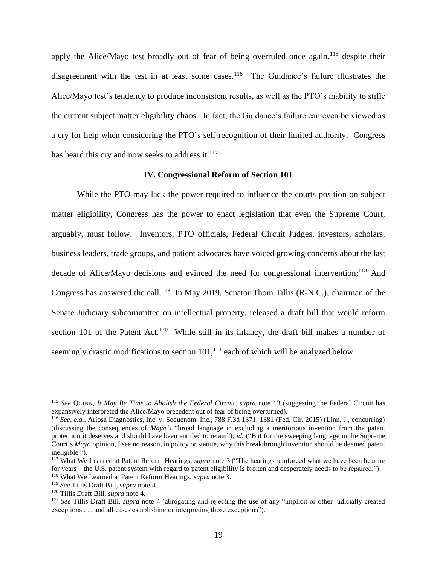apply the Alice/Mayo test broadly out of fear of being overruled once again,  $115$  despite their disagreement with the test in at least some cases.<sup>116</sup> The Guidance's failure illustrates the Alice/Mayo test's tendency to produce inconsistent results, as well as the PTO's inability to stifle the current subject matter eligibility chaos. In fact, the Guidance's failure can even be viewed as a cry for help when considering the PTO's self-recognition of their limited authority. Congress has heard this cry and now seeks to address it.<sup>117</sup>

#### **IV. Congressional Reform of Section 101**

While the PTO may lack the power required to influence the courts position on subject matter eligibility, Congress has the power to enact legislation that even the Supreme Court, arguably, must follow. Inventors, PTO officials, Federal Circuit Judges, investors, scholars, business leaders, trade groups, and patient advocates have voiced growing concerns about the last decade of Alice/Mayo decisions and evinced the need for congressional intervention;<sup>118</sup> And Congress has answered the call.<sup>119</sup> In May 2019, Senator Thom Tillis (R-N.C.), chairman of the Senate Judiciary subcommittee on intellectual property, released a draft bill that would reform section 101 of the Patent Act.<sup>120</sup> While still in its infancy, the draft bill makes a number of seemingly drastic modifications to section  $101$ ,<sup>121</sup> each of which will be analyzed below.

<sup>115</sup> *See* QUINN, *It May Be Time to Abolish the Federal Circuit*, *supra* note 13 (suggesting the Federal Circuit has expansively interpreted the Alice/Mayo precedent out of fear of being overturned).

<sup>116</sup> *See, e.g.,* Ariosa Diagnostics, Inc. v. Sequenom, Inc., 788 F.3d 1371, 1381 (Fed. Cir. 2015) (Linn, J., concurring) (discussing the consequences of *Mayo's* "broad language in excluding a meritorious invention from the patent protection it deserves and should have been entitled to retain"); *id.* ("But for the sweeping language in the Supreme Court's *Mayo* opinion, I see no reason, in policy or statute, why this breakthrough invention should be deemed patent ineligible.").

<sup>117</sup> What We Learned at Patent Reform Hearings, *supra* note 3 ("The hearings reinforced what we have been hearing for years—the U.S. patent system with regard to patent eligibility is broken and desperately needs to be repaired.").

<sup>118</sup> What We Learned at Patent Reform Hearings, *supra* note 3.

<sup>119</sup> *See* Tillis Draft Bill, *supra* note 4.

<sup>120</sup> Tillis Draft Bill, *supra* note 4.

<sup>121</sup> *See* Tillis Draft Bill, *supra* note 4 (abrogating and rejecting the use of any "implicit or other judicially created exceptions . . . and all cases establishing or interpreting those exceptions").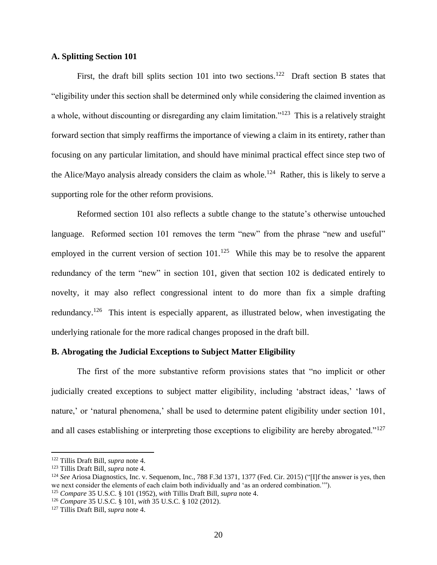## **A. Splitting Section 101**

First, the draft bill splits section 101 into two sections.<sup>122</sup> Draft section B states that "eligibility under this section shall be determined only while considering the claimed invention as a whole, without discounting or disregarding any claim limitation."<sup>123</sup> This is a relatively straight forward section that simply reaffirms the importance of viewing a claim in its entirety, rather than focusing on any particular limitation, and should have minimal practical effect since step two of the Alice/Mayo analysis already considers the claim as whole.<sup>124</sup> Rather, this is likely to serve a supporting role for the other reform provisions.

Reformed section 101 also reflects a subtle change to the statute's otherwise untouched language. Reformed section 101 removes the term "new" from the phrase "new and useful" employed in the current version of section 101.<sup>125</sup> While this may be to resolve the apparent redundancy of the term "new" in section 101, given that section 102 is dedicated entirely to novelty, it may also reflect congressional intent to do more than fix a simple drafting redundancy.<sup>126</sup> This intent is especially apparent, as illustrated below, when investigating the underlying rationale for the more radical changes proposed in the draft bill.

#### **B. Abrogating the Judicial Exceptions to Subject Matter Eligibility**

The first of the more substantive reform provisions states that "no implicit or other judicially created exceptions to subject matter eligibility, including 'abstract ideas,' 'laws of nature,' or 'natural phenomena,' shall be used to determine patent eligibility under section 101, and all cases establishing or interpreting those exceptions to eligibility are hereby abrogated."<sup>127</sup>

<sup>122</sup> Tillis Draft Bill, *supra* note 4.

<sup>123</sup> Tillis Draft Bill, *supra* note 4.

<sup>124</sup> *See* Ariosa Diagnostics, Inc. v. Sequenom, Inc., 788 F.3d 1371, 1377 (Fed. Cir. 2015) ("[I]f the answer is yes, then we next consider the elements of each claim both individually and 'as an ordered combination.'").

<sup>125</sup> *Compare* 35 U.S.C. § 101 (1952), *with* Tillis Draft Bill, *supra* note 4.

<sup>126</sup> *Compare* 35 U.S.C. § 101, *with* 35 U.S.C. § 102 (2012).

<sup>127</sup> Tillis Draft Bill, *supra* note 4.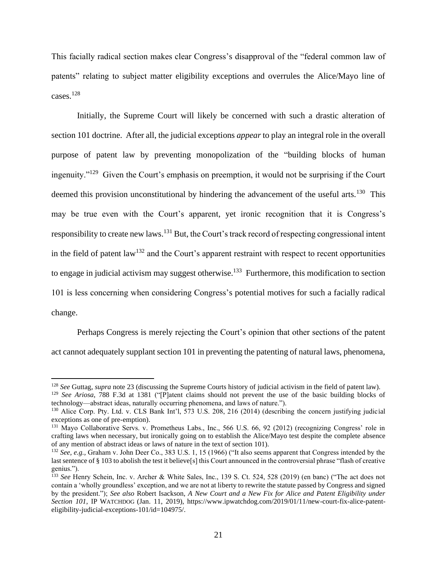This facially radical section makes clear Congress's disapproval of the "federal common law of patents" relating to subject matter eligibility exceptions and overrules the Alice/Mayo line of cases. $128$ 

Initially, the Supreme Court will likely be concerned with such a drastic alteration of section 101 doctrine. After all, the judicial exceptions *appear* to play an integral role in the overall purpose of patent law by preventing monopolization of the "building blocks of human ingenuity."<sup>129</sup> Given the Court's emphasis on preemption, it would not be surprising if the Court deemed this provision unconstitutional by hindering the advancement of the useful arts.<sup>130</sup> This may be true even with the Court's apparent, yet ironic recognition that it is Congress's responsibility to create new laws.<sup>131</sup> But, the Court's track record of respecting congressional intent in the field of patent law<sup>132</sup> and the Court's apparent restraint with respect to recent opportunities to engage in judicial activism may suggest otherwise.<sup>133</sup> Furthermore, this modification to section 101 is less concerning when considering Congress's potential motives for such a facially radical change.

Perhaps Congress is merely rejecting the Court's opinion that other sections of the patent act cannot adequately supplant section 101 in preventing the patenting of natural laws, phenomena,

<sup>128</sup> *See* Guttag, *supra* note 23 (discussing the Supreme Courts history of judicial activism in the field of patent law). <sup>129</sup> *See Ariosa*, 788 F.3d at 1381 ("[P]atent claims should not prevent the use of the basic building blocks of technology—abstract ideas, naturally occurring phenomena, and laws of nature.").

<sup>130</sup> Alice Corp. Pty. Ltd. v. CLS Bank Int'l, 573 U.S. 208, 216 (2014) (describing the concern justifying judicial exceptions as one of pre-emption).

<sup>131</sup> Mayo Collaborative Servs. v. Prometheus Labs., Inc., 566 U.S. 66, 92 (2012) (recognizing Congress' role in crafting laws when necessary, but ironically going on to establish the Alice/Mayo test despite the complete absence of any mention of abstract ideas or laws of nature in the text of section 101).

<sup>&</sup>lt;sup>132</sup> *See, e.g., Graham v. John Deer Co., 383 U.S. 1, 15 (1966)* ("It also seems apparent that Congress intended by the last sentence of § 103 to abolish the test it believe[s] this Court announced in the controversial phrase "flash of creative genius.").

<sup>133</sup> *See* Henry Schein, Inc. v. Archer & White Sales, Inc., 139 S. Ct. 524, 528 (2019) (en banc) ("The act does not contain a 'wholly groundless' exception, and we are not at liberty to rewrite the statute passed by Congress and signed by the president."); *See also* Robert Isackson, *A New Court and a New Fix for Alice and Patent Eligibility under Section 101*, IP WATCHDOG (Jan. 11, 2019), https://www.ipwatchdog.com/2019/01/11/new-court-fix-alice-patenteligibility-judicial-exceptions-101/id=104975/.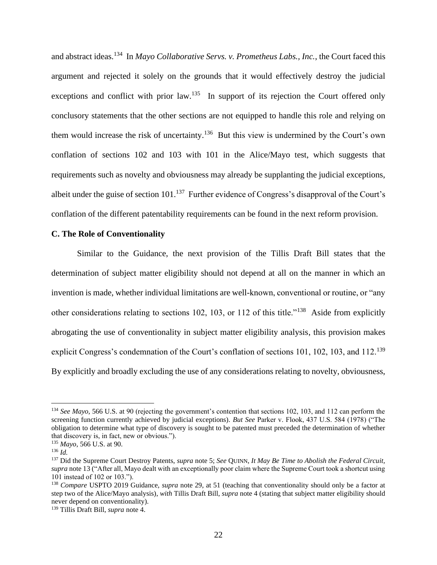and abstract ideas.<sup>134</sup> In *Mayo Collaborative Servs. v. Prometheus Labs., Inc.*, the Court faced this argument and rejected it solely on the grounds that it would effectively destroy the judicial exceptions and conflict with prior law.<sup>135</sup> In support of its rejection the Court offered only conclusory statements that the other sections are not equipped to handle this role and relying on them would increase the risk of uncertainty.<sup>136</sup> But this view is undermined by the Court's own conflation of sections 102 and 103 with 101 in the Alice/Mayo test, which suggests that requirements such as novelty and obviousness may already be supplanting the judicial exceptions, albeit under the guise of section 101.<sup>137</sup> Further evidence of Congress's disapproval of the Court's conflation of the different patentability requirements can be found in the next reform provision.

## **C. The Role of Conventionality**

Similar to the Guidance, the next provision of the Tillis Draft Bill states that the determination of subject matter eligibility should not depend at all on the manner in which an invention is made, whether individual limitations are well-known, conventional or routine, or "any other considerations relating to sections 102, 103, or 112 of this title."<sup>138</sup> Aside from explicitly abrogating the use of conventionality in subject matter eligibility analysis, this provision makes explicit Congress's condemnation of the Court's conflation of sections 101, 102, 103, and 112.<sup>139</sup> By explicitly and broadly excluding the use of any considerations relating to novelty, obviousness,

<sup>134</sup> *See Mayo*, 566 U.S. at 90 (rejecting the government's contention that sections 102, 103, and 112 can perform the screening function currently achieved by judicial exceptions). *But See* Parker v. Flook, 437 U.S. 584 (1978) ("The obligation to determine what type of discovery is sought to be patented must preceded the determination of whether that discovery is, in fact, new or obvious.").

<sup>135</sup> *Mayo*, 566 U.S. at 90.

<sup>136</sup> *Id.*

<sup>137</sup> Did the Supreme Court Destroy Patents, *supra* note 5; *See* QUINN, *It May Be Time to Abolish the Federal Circuit, supra* note 13 ("After all, Mayo dealt with an exceptionally poor claim where the Supreme Court took a shortcut using 101 instead of 102 or 103.").

<sup>138</sup> *Compare* USPTO 2019 Guidance, *supra* note 29, at 51 (teaching that conventionality should only be a factor at step two of the Alice/Mayo analysis), *with* Tillis Draft Bill, *supra* note 4 (stating that subject matter eligibility should never depend on conventionality).

<sup>139</sup> Tillis Draft Bill, *supra* note 4.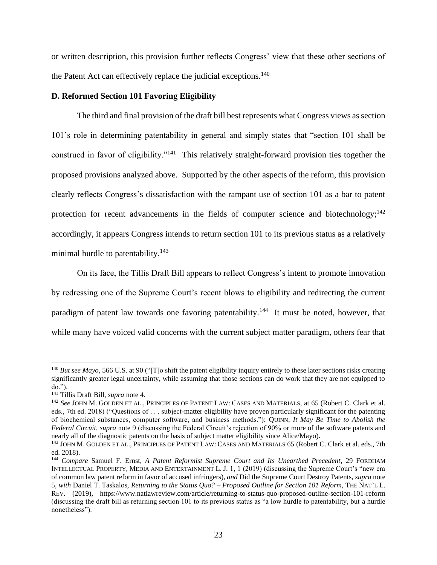or written description, this provision further reflects Congress' view that these other sections of the Patent Act can effectively replace the judicial exceptions.<sup>140</sup>

## **D. Reformed Section 101 Favoring Eligibility**

The third and final provision of the draft bill best represents what Congress views as section 101's role in determining patentability in general and simply states that "section 101 shall be construed in favor of eligibility."<sup>141</sup> This relatively straight-forward provision ties together the proposed provisions analyzed above. Supported by the other aspects of the reform, this provision clearly reflects Congress's dissatisfaction with the rampant use of section 101 as a bar to patent protection for recent advancements in the fields of computer science and biotechnology;<sup>142</sup> accordingly, it appears Congress intends to return section 101 to its previous status as a relatively minimal hurdle to patentability. $143$ 

On its face, the Tillis Draft Bill appears to reflect Congress's intent to promote innovation by redressing one of the Supreme Court's recent blows to eligibility and redirecting the current paradigm of patent law towards one favoring patentability.<sup>144</sup> It must be noted, however, that while many have voiced valid concerns with the current subject matter paradigm, others fear that

<sup>&</sup>lt;sup>140</sup> *But see Mayo*, 566 U.S. at 90 ("[T]o shift the patent eligibility inquiry entirely to these later sections risks creating significantly greater legal uncertainty, while assuming that those sections can do work that they are not equipped to do.").

<sup>141</sup> Tillis Draft Bill, *supra* note 4.

<sup>142</sup> *See* JOHN M. GOLDEN ET AL., PRINCIPLES OF PATENT LAW: CASES AND MATERIALS, at 65 (Robert C. Clark et al. eds., 7th ed. 2018) ("Questions of . . . subject-matter eligibility have proven particularly significant for the patenting of biochemical substances, computer software, and business methods."); QUINN, *It May Be Time to Abolish the Federal Circuit, supra* note 9 (discussing the Federal Circuit's rejection of 90% or more of the software patents and nearly all of the diagnostic patents on the basis of subject matter eligibility since Alice/Mayo).

<sup>&</sup>lt;sup>143</sup> JOHN M. GOLDEN ET AL., PRINCIPLES OF PATENT LAW: CASES AND MATERIALS 65 (Robert C. Clark et al. eds., 7th ed. 2018).

<sup>144</sup> *Compare* Samuel F. Ernst, *A Patent Reformist Supreme Court and Its Unearthed Precedent*, 29 FORDHAM INTELLECTUAL PROPERTY, MEDIA AND ENTERTAINMENT L. J. 1, 1 (2019) (discussing the Supreme Court's "new era of common law patent reform in favor of accused infringers), *and* Did the Supreme Court Destroy Patents, *supra* note 5, *with* Daniel T. Taskalos, *Returning to the Status Quo? – Proposed Outline for Section 101 Reform*, THE NAT'L L. REV. (2019), https://www.natlawreview.com/article/returning-to-status-quo-proposed-outline-section-101-reform (discussing the draft bill as returning section 101 to its previous status as "a low hurdle to patentability, but a hurdle nonetheless").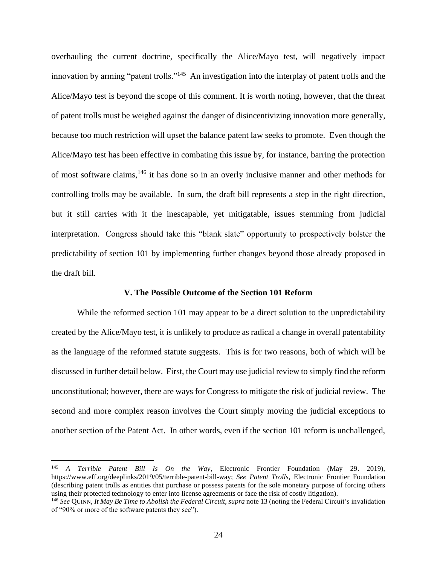overhauling the current doctrine, specifically the Alice/Mayo test, will negatively impact innovation by arming "patent trolls."<sup>145</sup> An investigation into the interplay of patent trolls and the Alice/Mayo test is beyond the scope of this comment. It is worth noting, however, that the threat of patent trolls must be weighed against the danger of disincentivizing innovation more generally, because too much restriction will upset the balance patent law seeks to promote. Even though the Alice/Mayo test has been effective in combating this issue by, for instance, barring the protection of most software claims,<sup>146</sup> it has done so in an overly inclusive manner and other methods for controlling trolls may be available. In sum, the draft bill represents a step in the right direction, but it still carries with it the inescapable, yet mitigatable, issues stemming from judicial interpretation. Congress should take this "blank slate" opportunity to prospectively bolster the predictability of section 101 by implementing further changes beyond those already proposed in the draft bill.

#### **V. The Possible Outcome of the Section 101 Reform**

While the reformed section 101 may appear to be a direct solution to the unpredictability created by the Alice/Mayo test, it is unlikely to produce as radical a change in overall patentability as the language of the reformed statute suggests. This is for two reasons, both of which will be discussed in further detail below. First, the Court may use judicial review to simply find the reform unconstitutional; however, there are ways for Congress to mitigate the risk of judicial review. The second and more complex reason involves the Court simply moving the judicial exceptions to another section of the Patent Act. In other words, even if the section 101 reform is unchallenged,

<sup>145</sup> *A Terrible Patent Bill Is On the Way*, Electronic Frontier Foundation (May 29. 2019), https://www.eff.org/deeplinks/2019/05/terrible-patent-bill-way; *See Patent Trolls*, Electronic Frontier Foundation (describing patent trolls as entities that purchase or possess patents for the sole monetary purpose of forcing others using their protected technology to enter into license agreements or face the risk of costly litigation).

<sup>146</sup> *See* QUINN, *It May Be Time to Abolish the Federal Circuit*, *supra* note 13 (noting the Federal Circuit's invalidation of "90% or more of the software patents they see").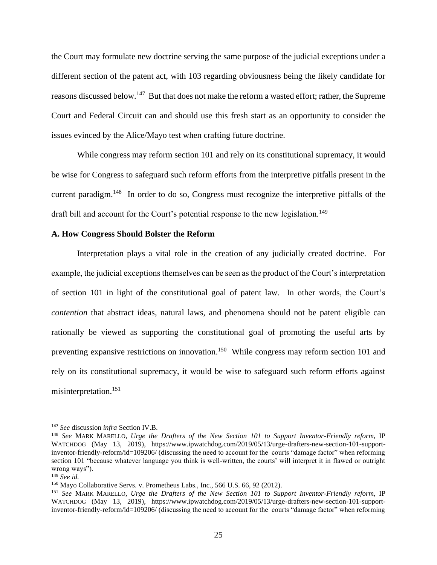the Court may formulate new doctrine serving the same purpose of the judicial exceptions under a different section of the patent act, with 103 regarding obviousness being the likely candidate for reasons discussed below.<sup>147</sup> But that does not make the reform a wasted effort; rather, the Supreme Court and Federal Circuit can and should use this fresh start as an opportunity to consider the issues evinced by the Alice/Mayo test when crafting future doctrine.

While congress may reform section 101 and rely on its constitutional supremacy, it would be wise for Congress to safeguard such reform efforts from the interpretive pitfalls present in the current paradigm.<sup>148</sup> In order to do so, Congress must recognize the interpretive pitfalls of the draft bill and account for the Court's potential response to the new legislation.<sup>149</sup>

## **A. How Congress Should Bolster the Reform**

Interpretation plays a vital role in the creation of any judicially created doctrine. For example, the judicial exceptions themselves can be seen as the product of the Court's interpretation of section 101 in light of the constitutional goal of patent law. In other words, the Court's *contention* that abstract ideas, natural laws, and phenomena should not be patent eligible can rationally be viewed as supporting the constitutional goal of promoting the useful arts by preventing expansive restrictions on innovation.<sup>150</sup> While congress may reform section 101 and rely on its constitutional supremacy, it would be wise to safeguard such reform efforts against misinterpretation.<sup>151</sup>

<sup>147</sup> *See* discussion *infra* Section IV.B.

<sup>148</sup> *See* MARK MARELLO, *Urge the Drafters of the New Section 101 to Support Inventor-Friendly reform,* IP WATCHDOG (May 13, 2019), https://www.ipwatchdog.com/2019/05/13/urge-drafters-new-section-101-supportinventor-friendly-reform/id=109206/ (discussing the need to account for the courts "damage factor" when reforming section 101 "because whatever language you think is well-written, the courts' will interpret it in flawed or outright wrong ways").

<sup>149</sup> *See id.*

<sup>&</sup>lt;sup>150</sup> Mayo Collaborative Servs. v. Prometheus Labs., Inc., 566 U.S. 66, 92 (2012).

<sup>151</sup> *See* MARK MARELLO, *Urge the Drafters of the New Section 101 to Support Inventor-Friendly reform,* IP WATCHDOG (May 13, 2019), https://www.ipwatchdog.com/2019/05/13/urge-drafters-new-section-101-supportinventor-friendly-reform/id=109206/ (discussing the need to account for the courts "damage factor" when reforming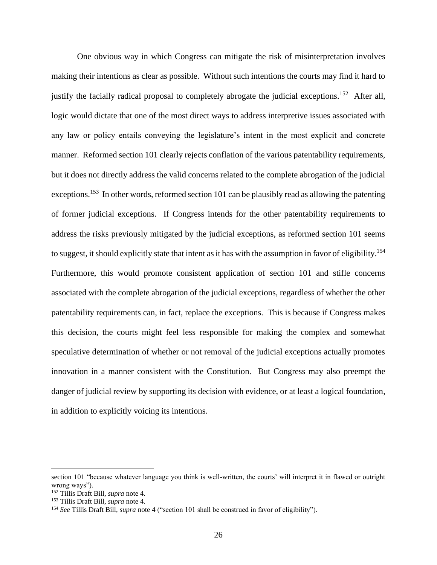One obvious way in which Congress can mitigate the risk of misinterpretation involves making their intentions as clear as possible. Without such intentions the courts may find it hard to justify the facially radical proposal to completely abrogate the judicial exceptions.<sup>152</sup> After all, logic would dictate that one of the most direct ways to address interpretive issues associated with any law or policy entails conveying the legislature's intent in the most explicit and concrete manner. Reformed section 101 clearly rejects conflation of the various patentability requirements, but it does not directly address the valid concerns related to the complete abrogation of the judicial exceptions.<sup>153</sup> In other words, reformed section 101 can be plausibly read as allowing the patenting of former judicial exceptions. If Congress intends for the other patentability requirements to address the risks previously mitigated by the judicial exceptions, as reformed section 101 seems to suggest, it should explicitly state that intent as it has with the assumption in favor of eligibility.<sup>154</sup> Furthermore, this would promote consistent application of section 101 and stifle concerns associated with the complete abrogation of the judicial exceptions, regardless of whether the other patentability requirements can, in fact, replace the exceptions. This is because if Congress makes this decision, the courts might feel less responsible for making the complex and somewhat speculative determination of whether or not removal of the judicial exceptions actually promotes innovation in a manner consistent with the Constitution. But Congress may also preempt the danger of judicial review by supporting its decision with evidence, or at least a logical foundation, in addition to explicitly voicing its intentions.

section 101 "because whatever language you think is well-written, the courts' will interpret it in flawed or outright wrong ways").

<sup>152</sup> Tillis Draft Bill, *supra* note 4.

<sup>153</sup> Tillis Draft Bill, *supra* note 4.

<sup>154</sup> *See* Tillis Draft Bill, *supra* note 4 ("section 101 shall be construed in favor of eligibility").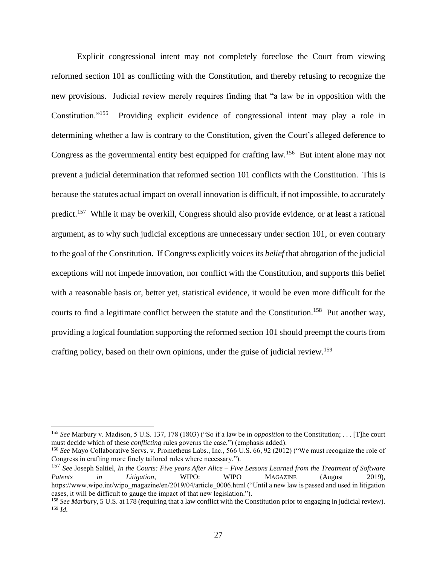Explicit congressional intent may not completely foreclose the Court from viewing reformed section 101 as conflicting with the Constitution, and thereby refusing to recognize the new provisions. Judicial review merely requires finding that "a law be in opposition with the Constitution."<sup>155</sup> Providing explicit evidence of congressional intent may play a role in determining whether a law is contrary to the Constitution, given the Court's alleged deference to Congress as the governmental entity best equipped for crafting law.<sup>156</sup> But intent alone may not prevent a judicial determination that reformed section 101 conflicts with the Constitution. This is because the statutes actual impact on overall innovation is difficult, if not impossible, to accurately predict.<sup>157</sup> While it may be overkill, Congress should also provide evidence, or at least a rational argument, as to why such judicial exceptions are unnecessary under section 101, or even contrary to the goal of the Constitution. If Congress explicitly voices its *belief* that abrogation of the judicial exceptions will not impede innovation, nor conflict with the Constitution, and supports this belief with a reasonable basis or, better yet, statistical evidence, it would be even more difficult for the courts to find a legitimate conflict between the statute and the Constitution.<sup>158</sup> Put another way, providing a logical foundation supporting the reformed section 101 should preempt the courts from crafting policy, based on their own opinions, under the guise of judicial review.<sup>159</sup>

<sup>155</sup> *See* Marbury v. Madison, 5 U.S. 137, 178 (1803) ("So if a law be in *opposition* to the Constitution; . . . [T]he court must decide which of these *conflicting* rules governs the case.") (emphasis added).

<sup>156</sup> *See* Mayo Collaborative Servs. v. Prometheus Labs., Inc., 566 U.S. 66, 92 (2012) ("We must recognize the role of Congress in crafting more finely tailored rules where necessary.").

<sup>157</sup> *See* Joseph Saltiel, *In the Courts: Five years After Alice – Five Lessons Learned from the Treatment of Software Patents in Litigation*, WIPO: WIPO MAGAZINE (August 2019), https://www.wipo.int/wipo\_magazine/en/2019/04/article\_0006.html ("Until a new law is passed and used in litigation cases, it will be difficult to gauge the impact of that new legislation.").

<sup>&</sup>lt;sup>158</sup> See Marbury, 5 U.S. at 178 (requiring that a law conflict with the Constitution prior to engaging in judicial review). <sup>159</sup> *Id.*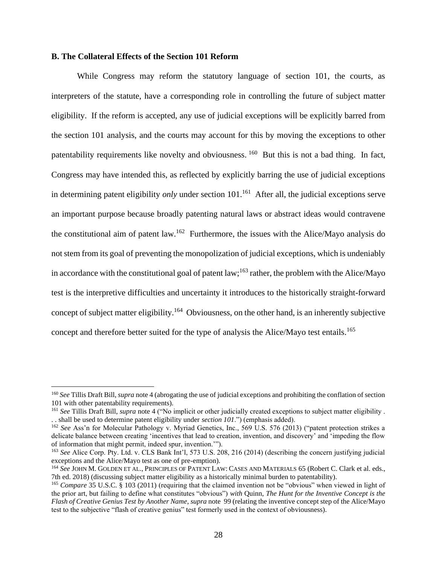### **B. The Collateral Effects of the Section 101 Reform**

While Congress may reform the statutory language of section 101, the courts, as interpreters of the statute, have a corresponding role in controlling the future of subject matter eligibility. If the reform is accepted, any use of judicial exceptions will be explicitly barred from the section 101 analysis, and the courts may account for this by moving the exceptions to other patentability requirements like novelty and obviousness. <sup>160</sup> But this is not a bad thing. In fact, Congress may have intended this, as reflected by explicitly barring the use of judicial exceptions in determining patent eligibility *only* under section 101.<sup>161</sup> After all, the judicial exceptions serve an important purpose because broadly patenting natural laws or abstract ideas would contravene the constitutional aim of patent law.<sup>162</sup> Furthermore, the issues with the Alice/Mayo analysis do not stem from its goal of preventing the monopolization of judicial exceptions, which is undeniably in accordance with the constitutional goal of patent law;<sup>163</sup> rather, the problem with the Alice/Mayo test is the interpretive difficulties and uncertainty it introduces to the historically straight-forward concept of subject matter eligibility.<sup>164</sup> Obviousness, on the other hand, is an inherently subjective concept and therefore better suited for the type of analysis the Alice/Mayo test entails.<sup>165</sup>

<sup>160</sup> *See* Tillis Draft Bill, *supra* note 4 (abrogating the use of judicial exceptions and prohibiting the conflation of section 101 with other patentability requirements).

<sup>161</sup> *See* Tillis Draft Bill, *supra* note 4 ("No implicit or other judicially created exceptions to subject matter eligibility . . . shall be used to determine patent eligibility under *section 101*.") (emphasis added).

<sup>162</sup> *See* Ass'n for Molecular Pathology v. Myriad Genetics, Inc., 569 U.S. 576 (2013) ("patent protection strikes a delicate balance between creating 'incentives that lead to creation, invention, and discovery' and 'impeding the flow of information that might permit, indeed spur, invention.'").

<sup>163</sup> *See* Alice Corp. Pty. Ltd. v. CLS Bank Int'l, 573 U.S. 208, 216 (2014) (describing the concern justifying judicial exceptions and the Alice/Mayo test as one of pre-emption).

<sup>164</sup> *See* JOHN M. GOLDEN ET AL., PRINCIPLES OF PATENT LAW: CASES AND MATERIALS 65 (Robert C. Clark et al. eds., 7th ed. 2018) (discussing subject matter eligibility as a historically minimal burden to patentability).

<sup>&</sup>lt;sup>165</sup> *Compare* 35 U.S.C. § 103 (2011) (requiring that the claimed invention not be "obvious" when viewed in light of the prior art, but failing to define what constitutes "obvious") *with* Quinn, *The Hunt for the Inventive Concept is the Flash of Creative Genius Test by Another Name*, *supra* note 99 (relating the inventive concept step of the Alice/Mayo test to the subjective "flash of creative genius" test formerly used in the context of obviousness).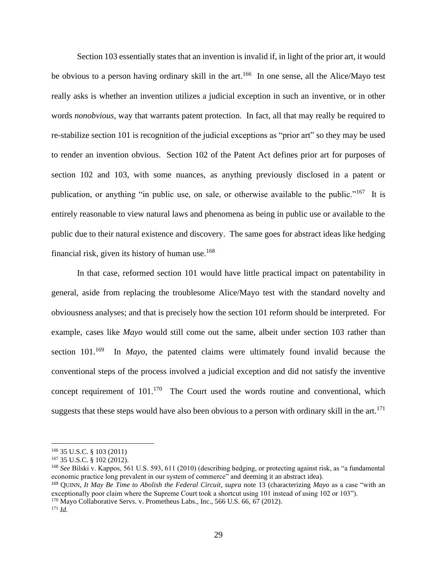Section 103 essentially states that an invention is invalid if, in light of the prior art, it would be obvious to a person having ordinary skill in the art.<sup>166</sup> In one sense, all the Alice/Mayo test really asks is whether an invention utilizes a judicial exception in such an inventive, or in other words *nonobvious*, way that warrants patent protection. In fact, all that may really be required to re-stabilize section 101 is recognition of the judicial exceptions as "prior art" so they may be used to render an invention obvious. Section 102 of the Patent Act defines prior art for purposes of section 102 and 103, with some nuances, as anything previously disclosed in a patent or publication, or anything "in public use, on sale, or otherwise available to the public."<sup>167</sup> It is entirely reasonable to view natural laws and phenomena as being in public use or available to the public due to their natural existence and discovery. The same goes for abstract ideas like hedging financial risk, given its history of human use. $168$ 

In that case, reformed section 101 would have little practical impact on patentability in general, aside from replacing the troublesome Alice/Mayo test with the standard novelty and obviousness analyses; and that is precisely how the section 101 reform should be interpreted. For example, cases like *Mayo* would still come out the same, albeit under section 103 rather than section  $101^{169}$  In *Mayo*, the patented claims were ultimately found invalid because the conventional steps of the process involved a judicial exception and did not satisfy the inventive concept requirement of  $101<sup>170</sup>$  The Court used the words routine and conventional, which suggests that these steps would have also been obvious to a person with ordinary skill in the art.<sup>171</sup>

 $170$  Mayo Collaborative Servs. v. Prometheus Labs., Inc., 566 U.S. 66, 67 (2012).

<sup>166</sup> 35 U.S.C. § 103 (2011)

<sup>167</sup> 35 U.S.C. § 102 (2012).

<sup>168</sup> *See* Bilski v. Kappos, 561 U.S. 593, 611 (2010) (describing hedging, or protecting against risk, as "a fundamental economic practice long prevalent in our system of commerce" and deeming it an abstract idea).

<sup>169</sup> QUINN, *It May Be Time to Abolish the Federal Circuit*, *supra* note 13 (characterizing *Mayo* as a case "with an exceptionally poor claim where the Supreme Court took a shortcut using 101 instead of using 102 or 103").

<sup>171</sup> *Id.*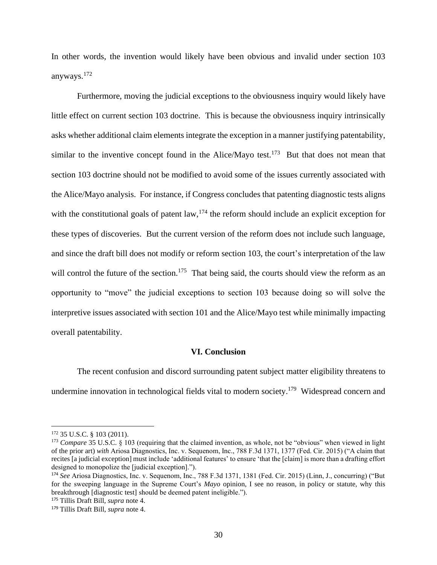In other words, the invention would likely have been obvious and invalid under section 103 anyways. 172

Furthermore, moving the judicial exceptions to the obviousness inquiry would likely have little effect on current section 103 doctrine. This is because the obviousness inquiry intrinsically asks whether additional claim elements integrate the exception in a manner justifying patentability, similar to the inventive concept found in the Alice/Mayo test.<sup>173</sup> But that does not mean that section 103 doctrine should not be modified to avoid some of the issues currently associated with the Alice/Mayo analysis. For instance, if Congress concludes that patenting diagnostic tests aligns with the constitutional goals of patent law,  $174$  the reform should include an explicit exception for these types of discoveries. But the current version of the reform does not include such language, and since the draft bill does not modify or reform section 103, the court's interpretation of the law will control the future of the section.<sup>175</sup> That being said, the courts should view the reform as an opportunity to "move" the judicial exceptions to section 103 because doing so will solve the interpretive issues associated with section 101 and the Alice/Mayo test while minimally impacting overall patentability.

#### **VI. Conclusion**

The recent confusion and discord surrounding patent subject matter eligibility threatens to undermine innovation in technological fields vital to modern society.<sup>179</sup> Widespread concern and

<sup>172</sup> 35 U.S.C. § 103 (2011).

<sup>173</sup> *Compare* 35 U.S.C. § 103 (requiring that the claimed invention, as whole, not be "obvious" when viewed in light of the prior art) *with* Ariosa Diagnostics, Inc. v. Sequenom, Inc., 788 F.3d 1371, 1377 (Fed. Cir. 2015) ("A claim that recites [a judicial exception] must include 'additional features' to ensure 'that the [claim] is more than a drafting effort designed to monopolize the [judicial exception].").

<sup>174</sup> *See* Ariosa Diagnostics, Inc. v. Sequenom, Inc., 788 F.3d 1371, 1381 (Fed. Cir. 2015) (Linn, J., concurring) ("But for the sweeping language in the Supreme Court's *Mayo* opinion, I see no reason, in policy or statute, why this breakthrough [diagnostic test] should be deemed patent ineligible.").

<sup>175</sup> Tillis Draft Bill, *supra* note 4.

<sup>179</sup> Tillis Draft Bill, *supra* note 4.